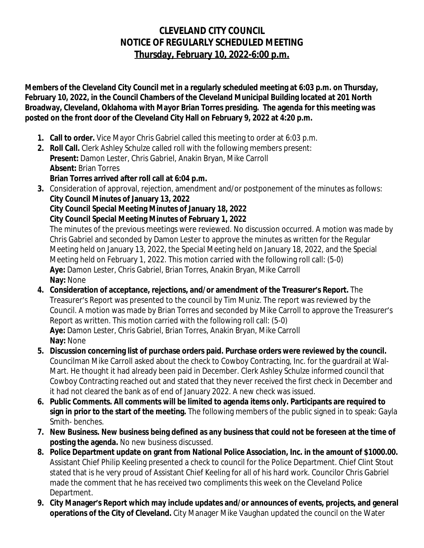## **CLEVELAND CITY COUNCIL NOTICE OF REGULARLY SCHEDULED MEETING Thursday, February 10, 2022-6:00 p.m.**

**Members of the Cleveland City Council met in a regularly scheduled meeting at 6:03 p.m. on Thursday, February 10, 2022, in the Council Chambers of the Cleveland Municipal Building located at 201 North Broadway, Cleveland, Oklahoma with Mayor Brian Torres presiding. The agenda for this meeting was posted on the front door of the Cleveland City Hall on February 9, 2022 at 4:20 p.m.**

- **1. Call to order.** Vice Mayor Chris Gabriel called this meeting to order at 6:03 p.m.
- **2. Roll Call.** Clerk Ashley Schulze called roll with the following members present: **Present:** Damon Lester, Chris Gabriel, Anakin Bryan, Mike Carroll **Absent:** Brian Torres **Brian Torres arrived after roll call at 6:04 p.m.**
- **3.** Consideration of approval, rejection, amendment and/or postponement of the minutes as follows: **City Council Minutes of January 13, 2022 City Council Special Meeting Minutes of January 18, 2022**

**City Council Special Meeting Minutes of February 1, 2022**

The minutes of the previous meetings were reviewed. No discussion occurred. A motion was made by Chris Gabriel and seconded by Damon Lester to approve the minutes as written for the Regular Meeting held on January 13, 2022, the Special Meeting held on January 18, 2022, and the Special Meeting held on February 1, 2022. This motion carried with the following roll call: (5-0) **Aye:** Damon Lester, Chris Gabriel, Brian Torres, Anakin Bryan, Mike Carroll **Nay:** None

- **4. Consideration of acceptance, rejections, and/or amendment of the Treasurer's Report.** The Treasurer's Report was presented to the council by Tim Muniz. The report was reviewed by the Council. A motion was made by Brian Torres and seconded by Mike Carroll to approve the Treasurer's Report as written. This motion carried with the following roll call: (5-0) **Aye:** Damon Lester, Chris Gabriel, Brian Torres, Anakin Bryan, Mike Carroll **Nay:** None
- **5. Discussion concerning list of purchase orders paid. Purchase orders were reviewed by the council.** Councilman Mike Carroll asked about the check to Cowboy Contracting, Inc. for the guardrail at Wal-Mart. He thought it had already been paid in December. Clerk Ashley Schulze informed council that Cowboy Contracting reached out and stated that they never received the first check in December and it had not cleared the bank as of end of January 2022. A new check was issued.
- **6. Public Comments. All comments will be limited to agenda items only. Participants are required to sign in prior to the start of the meeting.** The following members of the public signed in to speak: Gayla Smith- benches.
- **7. New Business. New business being defined as any business that could not be foreseen at the time of posting the agenda.** No new business discussed.
- **8. Police Department update on grant from National Police Association, Inc. in the amount of \$1000.00.** Assistant Chief Philip Keeling presented a check to council for the Police Department. Chief Clint Stout stated that is he very proud of Assistant Chief Keeling for all of his hard work. Councilor Chris Gabriel made the comment that he has received two compliments this week on the Cleveland Police Department.
- **9. City Manager's Report which may include updates and/or announces of events, projects, and general operations of the City of Cleveland.** City Manager Mike Vaughan updated the council on the Water